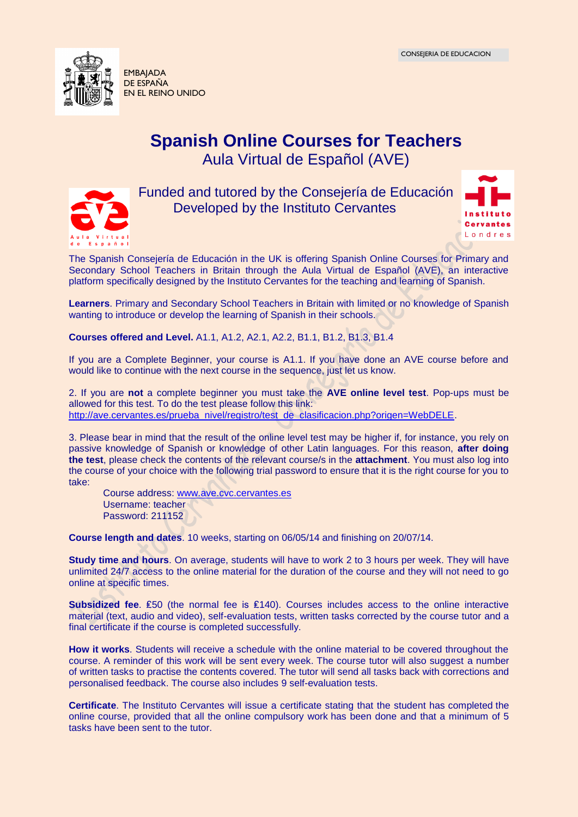

EN EL REINO UNIDO

## **Spanish Online Courses for Teachers** Aula Virtual de Español (AVE)



Funded and tutored by the Consejería de Educación Developed by the Instituto Cervantes



The Spanish Consejería de Educación in the UK is offering Spanish Online Courses for Primary and Secondary School Teachers in Britain through the Aula Virtual de Español (AVE), an interactive platform specifically designed by the Instituto Cervantes for the teaching and learning of Spanish.

**Learners**. Primary and Secondary School Teachers in Britain with limited or no knowledge of Spanish wanting to introduce or develop the learning of Spanish in their schools.

**Courses offered and Level.** A1.1, A1.2, A2.1, A2.2, B1.1, B1.2, B1.3, B1.4

If you are a Complete Beginner, your course is A1.1. If you have done an AVE course before and would like to continue with the next course in the sequence, just let us know.

2. If you are **not** a complete beginner you must take the **AVE online level test**. Pop-ups must be allowed for this test. To do the test please follow this link: [http://ave.cervantes.es/prueba\\_nivel/registro/test\\_de\\_clasificacion.php?origen=WebDELE.](https://zurbaran.cervantes.es/owa/redir.aspx?C=7dEZpFX49kyuXmWIq7DX36pusRTqD9EIeP2fFursEeRfvkng_ziYvq410c_jH3_gHjLYiRfuaA4.&URL=http%3a%2f%2fave.cervantes.es%2fprueba_nivel%2fregistro%2ftest_de_clasificacion.php%3forigen%3dWebDELE)

3. Please bear in mind that the result of the online level test may be higher if, for instance, you rely on passive knowledge of Spanish or knowledge of other Latin languages. For this reason, **after doing the test**, please check the contents of the relevant course/s in the **attachment**. You must also log into the course of your choice with the following trial password to ensure that it is the right course for you to take:

Course address: [www.ave.cvc.cervantes.es](https://zurbaran.cervantes.es/owa/redir.aspx?C=7dEZpFX49kyuXmWIq7DX36pusRTqD9EIeP2fFursEeRfvkng_ziYvq410c_jH3_gHjLYiRfuaA4.&URL=http%3a%2f%2fwww.ave.cvc.cervantes.es%2f) Username: teacher Password: 211152

**Course length and dates**. 10 weeks, starting on 06/05/14 and finishing on 20/07/14.

**Study time and hours**. On average, students will have to work 2 to 3 hours per week. They will have unlimited 24/7 access to the online material for the duration of the course and they will not need to go online at specific times.

**Subsidized fee**. ₤50 (the normal fee is ₤140). Courses includes access to the online interactive material (text, audio and video), self-evaluation tests, written tasks corrected by the course tutor and a final certificate if the course is completed successfully.

**How it works**. Students will receive a schedule with the online material to be covered throughout the course. A reminder of this work will be sent every week. The course tutor will also suggest a number of written tasks to practise the contents covered. The tutor will send all tasks back with corrections and personalised feedback. The course also includes 9 self-evaluation tests.

**Certificate**. The Instituto Cervantes will issue a certificate stating that the student has completed the online course, provided that all the online compulsory work has been done and that a minimum of 5 tasks have been sent to the tutor.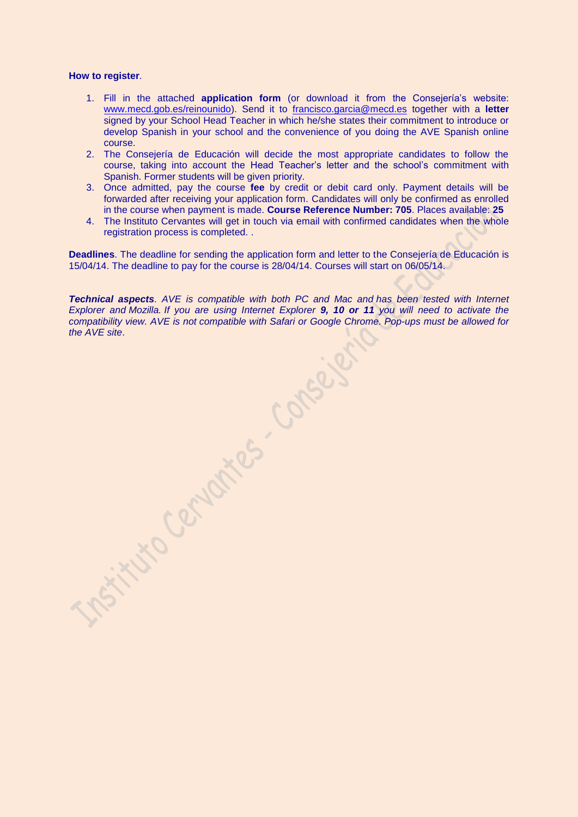## **How to register**.

- 1. Fill in the attached **application form** (or download it from the Consejería's website: www.mecd.gob.es/reinounido). Send it to [francisco.garcia@mecd.es](mailto:francisco.garcia@mecd.es) together with a **letter** signed by your School Head Teacher in which he/she states their commitment to introduce or develop Spanish in your school and the convenience of you doing the AVE Spanish online course.
- 2. The Consejería de Educación will decide the most appropriate candidates to follow the course, taking into account the Head Teacher's letter and the school's commitment with Spanish. Former students will be given priority.
- 3. Once admitted, pay the course **fee** by credit or debit card only. Payment details will be forwarded after receiving your application form. Candidates will only be confirmed as enrolled in the course when payment is made. **Course Reference Number: 705**. Places available: **25**
- 4. The Instituto Cervantes will get in touch via email with confirmed candidates when the whole registration process is completed. .

**Deadlines**. The deadline for sending the application form and letter to the Consejería de Educación is 15/04/14. The deadline to pay for the course is 28/04/14. Courses will start on 06/05/14.

*Technical aspects. AVE is compatible with both PC and Mac and has been tested with Internet Explorer and Mozilla. If you are using Internet Explorer 9, 10 or 11 you will need to activate the compatibility view. AVE is not compatible with Safari or Google Chrome. Pop-ups must be allowed for* 

**the History Centuries Conseils**